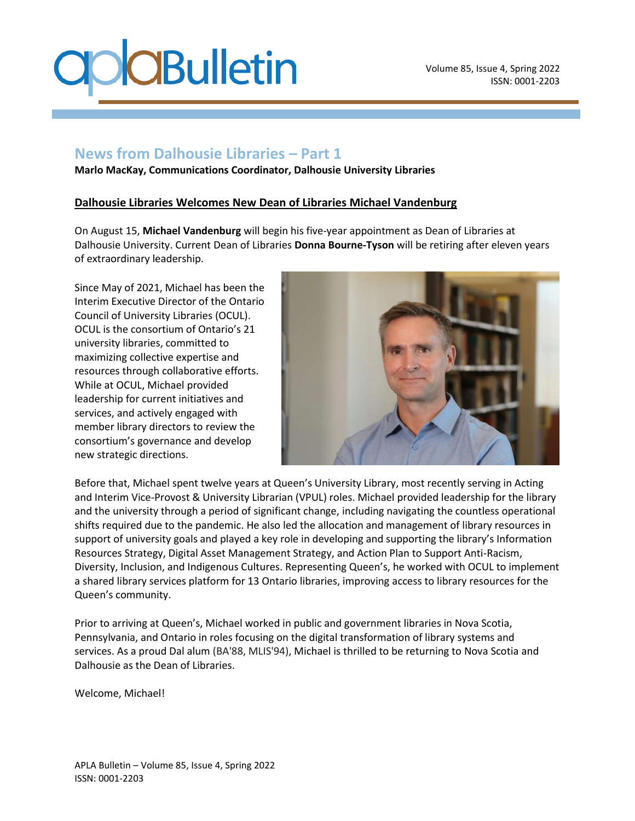## **News from Dalhousie Libraries – Part 1**

**Marlo MacKay, Communications Coordinator, Dalhousie University Libraries**

#### **Dalhousie Libraries Welcomes New Dean of Libraries Michael Vandenburg**

On August 15, **Michael Vandenburg** will begin his five-year appointment as Dean of Libraries at Dalhousie University. Current Dean of Libraries **Donna Bourne-Tyson** will be retiring after eleven years of extraordinary leadership.

Since May of 2021, Michael has been the Interim Executive Director of the [Ontario](https://ocul.on.ca/) Council of [University](https://ocul.on.ca/) Libraries (OCUL). OCUL is the consortium of Ontario's 21 university libraries, committed to maximizing collective expertise and resources through collaborative efforts. While at OCUL, Michael provided leadership for current initiatives and services, and actively engaged with member library directors to review the consortium's governance and develop new strategic directions.



Before that, Michael spent twelve years at Queen's University Library, most recently serving in Acting and Interim Vice-Provost & University Librarian (VPUL) roles. Michael provided leadership for the library and the university through a period of significant change, including navigating the countless operational shifts required due to the pandemic. He also led the allocation and management of library resources in support of university goals and played a key role in developing and supporting the library's Information Resources Strategy, Digital Asset Management Strategy, and Action Plan to Support Anti-Racism, Diversity, Inclusion, and Indigenous Cultures. Representing Queen's, he worked with OCUL to implement a shared library services platform for 13 Ontario libraries, improving access to library resources for the Queen's community.

Prior to arriving at Queen's, Michael worked in public and government libraries in Nova Scotia, Pennsylvania, and Ontario in roles focusing on the digital transformation of library systems and services. As a proud Dal alum (BA'88, MLIS'94), Michael is thrilled to be returning to Nova Scotia and Dalhousie as the Dean of Libraries.

Welcome, Michael!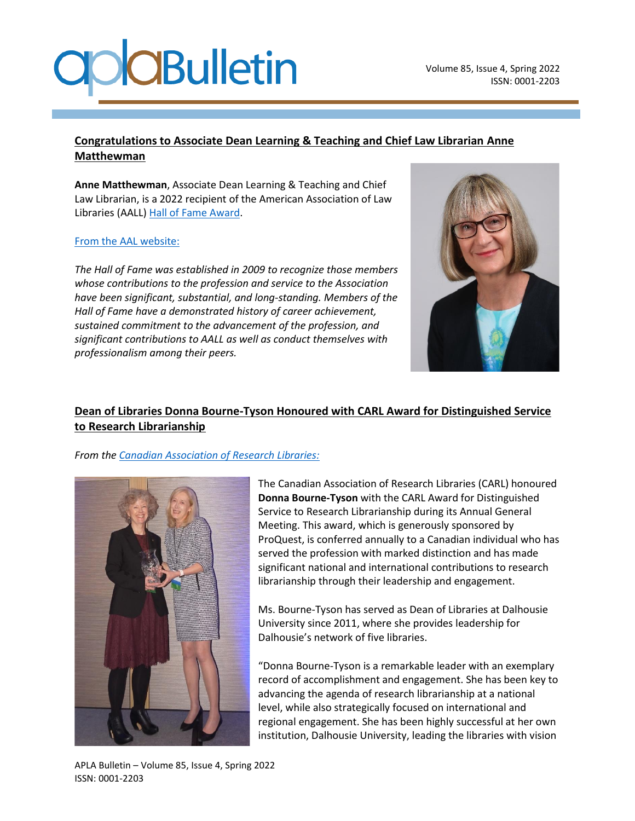### **Congratulations to Associate Dean Learning & Teaching and Chief Law Librarian Anne Matthewman**

**Anne Matthewman**, Associate Dean Learning & Teaching and Chief Law Librarian, is a 2022 recipient of the American Association of Law Libraries (AALL) [Hall of Fame Award.](https://www.aallnet.org/inductee/anne-matthewman/)

#### [From the AAL website:](https://www.aallnet.org/community/recognition/awards-program/hall-of-fame-award/)

*The Hall of Fame was established in 2009 to recognize those members whose contributions to the profession and service to the Association have been significant, substantial, and long-standing. Members of the Hall of Fame have a demonstrated history of career achievement, sustained commitment to the advancement of the profession, and significant contributions to AALL as well as conduct themselves with professionalism among their peers.*



## **Dean of Libraries Donna Bourne-Tyson Honoured with CARL Award for Distinguished Service to Research Librarianship**

#### *From th[e Canadian Association of Research Libraries:](https://www.carl-abrc.ca/news/donna-bourne-tyson-honoured-with-carl-award-for-distinguished-service-to-research-librarianship/?cn-reloaded=1)*



The Canadian Association of Research Libraries (CARL) honoured **Donna Bourne-Tyson** with the CARL Award for Distinguished Service to Research Librarianship during its Annual General Meeting. This award, which is generously sponsored by ProQuest, is conferred annually to a Canadian individual who has served the profession with marked distinction and has made significant national and international contributions to research librarianship through their leadership and engagement.

Ms. Bourne-Tyson has served as Dean of Libraries at Dalhousie University since 2011, where she provides leadership for Dalhousie's network of five libraries.

"Donna Bourne-Tyson is a remarkable leader with an exemplary record of accomplishment and engagement. She has been key to advancing the agenda of research librarianship at a national level, while also strategically focused on international and regional engagement. She has been highly successful at her own institution, Dalhousie University, leading the libraries with vision

APLA Bulletin – Volume 85, Issue 4, Spring 2022 ISSN: 0001-2203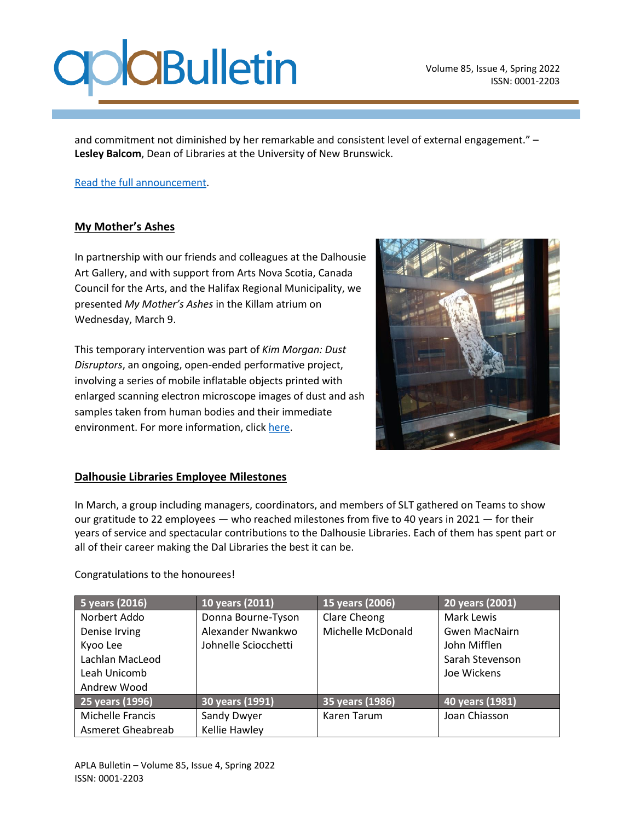and commitment not diminished by her remarkable and consistent level of external engagement." – **Lesley Balcom**, Dean of Libraries at the University of New Brunswick.

[Read the full announcement.](https://www.carl-abrc.ca/news/donna-bourne-tyson-honoured-with-carl-award-for-distinguished-service-to-research-librarianship/?cn-reloaded=1)

### **My Mother's Ashes**

In partnership with our friends and colleagues at the Dalhousie Art Gallery, and with support from Arts Nova Scotia, Canada Council for the Arts, and the Halifax Regional Municipality, we presented *My Mother's Ashes* in the Killam atrium on Wednesday, March 9.

This temporary intervention was part of *Kim Morgan: Dust Disruptors*, an ongoing, open-ended performative project, involving a series of mobile inflatable objects printed with enlarged scanning electron microscope images of dust and ash samples taken from human bodies and their immediate environment. For more information, click [here.](file:///C:/Users/Kate/Downloads/APLA%20Spring%202022/artgallery.dal.ca/kim-morgan-dust-disruptors)



#### **Dalhousie Libraries Employee Milestones**

In March, a group including managers, coordinators, and members of SLT gathered on Teams to show our gratitude to 22 employees — who reached milestones from five to 40 years in 2021 — for their years of service and spectacular contributions to the Dalhousie Libraries. Each of them has spent part or all of their career making the Dal Libraries the best it can be.

#### Congratulations to the honourees!

| 5 years (2016)          | 10 years (2011)      | 15 years (2006)   | 20 years (2001)      |
|-------------------------|----------------------|-------------------|----------------------|
| Norbert Addo            | Donna Bourne-Tyson   | Clare Cheong      | Mark Lewis           |
| Denise Irving           | Alexander Nwankwo    | Michelle McDonald | <b>Gwen MacNairn</b> |
| Kyoo Lee                | Johnelle Sciocchetti |                   | John Mifflen         |
| Lachlan MacLeod         |                      |                   | Sarah Stevenson      |
| Leah Unicomb            |                      |                   | Joe Wickens          |
| Andrew Wood             |                      |                   |                      |
| 25 years (1996)         | 30 years (1991)      | 35 years (1986)   | 40 years (1981)      |
| <b>Michelle Francis</b> | Sandy Dwyer          | Karen Tarum       | Joan Chiasson        |
| Asmeret Gheabreab       | Kellie Hawley        |                   |                      |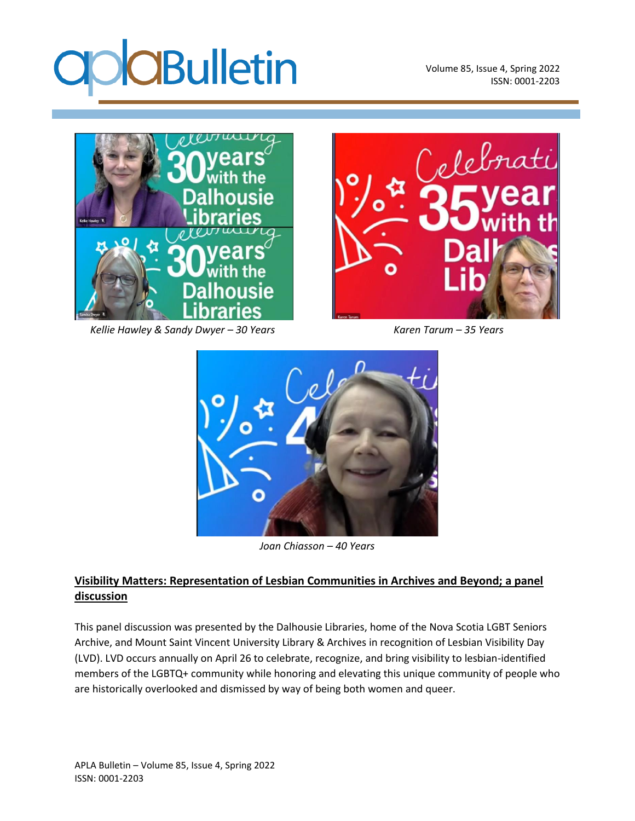

Volume 85, Issue 4, Spring 2022 ISSN: 0001-2203



 *Kellie Hawley & Sandy Dwyer – 30 Years Karen Tarum – 35 Years*





*Joan Chiasson – 40 Years*

### **Visibility Matters: Representation of Lesbian Communities in Archives and Beyond; a panel discussion**

This panel discussion was presented by the Dalhousie Libraries, home of the Nova Scotia LGBT Seniors Archive, and Mount Saint Vincent University Library & Archives in recognition of Lesbian Visibility Day (LVD). LVD occurs annually on April 26 to celebrate, recognize, and bring visibility to lesbian-identified members of the LGBTQ+ community while honoring and elevating this unique community of people who are historically overlooked and dismissed by way of being both women and queer.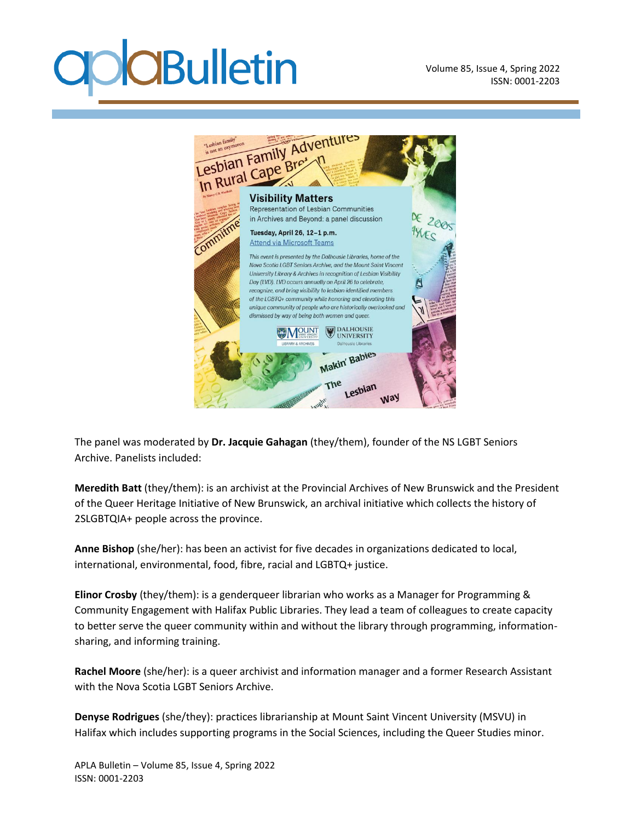Volume 85, Issue 4, Spring 2022 ISSN: 0001-2203



The panel was moderated by **Dr. Jacquie Gahagan** (they/them), founder of the NS LGBT Seniors Archive. Panelists included:

**Meredith Batt** (they/them): is an archivist at the Provincial Archives of New Brunswick and the President of the Queer Heritage Initiative of New Brunswick, an archival initiative which collects the history of 2SLGBTQIA+ people across the province.

**Anne Bishop** (she/her): has been an activist for five decades in organizations dedicated to local, international, environmental, food, fibre, racial and LGBTQ+ justice.

**Elinor Crosby** (they/them): is a genderqueer librarian who works as a Manager for Programming & Community Engagement with Halifax Public Libraries. They lead a team of colleagues to create capacity to better serve the queer community within and without the library through programming, informationsharing, and informing training.

**Rachel Moore** (she/her): is a queer archivist and information manager and a former Research Assistant with the Nova Scotia LGBT Seniors Archive.

**Denyse Rodrigues** (she/they): practices librarianship at Mount Saint Vincent University (MSVU) in Halifax which includes supporting programs in the Social Sciences, including the Queer Studies minor.

APLA Bulletin – Volume 85, Issue 4, Spring 2022 ISSN: 0001-2203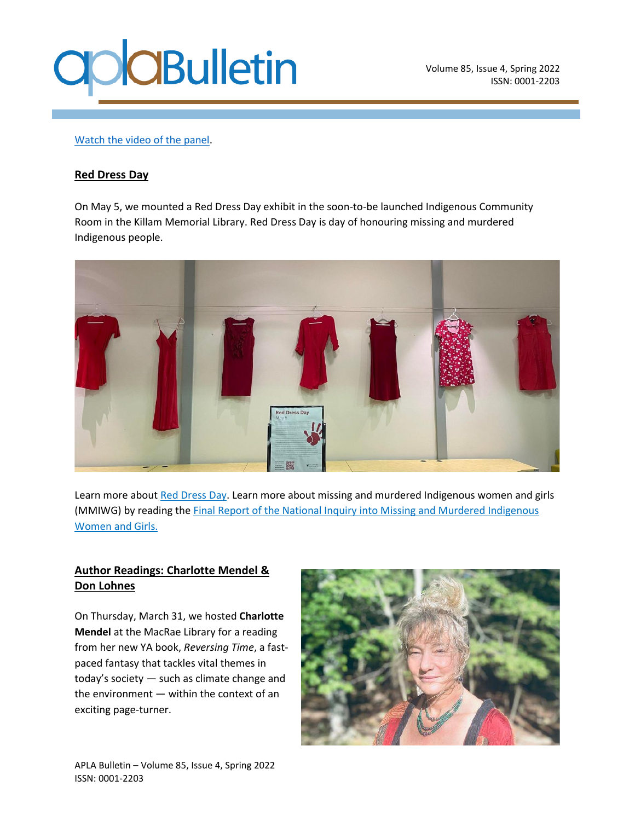

Volume 85, Issue 4, Spring 2022 ISSN: 0001-2203

#### [Watch the video of the](https://www.youtube.com/watch?v=hv-WtZbCiuk&t=3s) panel.

#### **Red Dress Day**

On May 5, we mounted a Red Dress Day exhibit in the soon-to-be launched Indigenous Community Room in the Killam Memorial Library. Red Dress Day is day of honouring missing and murdered Indigenous people.



Learn more about [Red Dress Day.](https://wanuskewin.com/isl/uploads/2021/05/Red-Dress-day.pdf) Learn more about missing and murdered Indigenous women and girls (MMIWG) by reading the [Final Report of the National Inquiry into Missing and Murdered Indigenous](https://www.mmiwg-ffada.ca/final-report/)  [Women and Girls.](https://www.mmiwg-ffada.ca/final-report/)

#### **Author Readings: Charlotte Mendel & Don Lohnes**

On Thursday, March 31, we hosted **Charlotte Mendel** at the MacRae Library for a reading from her new YA book, *Reversing Time*, a fastpaced fantasy that tackles vital themes in today's society — such as climate change and the environment — within the context of an exciting page-turner.